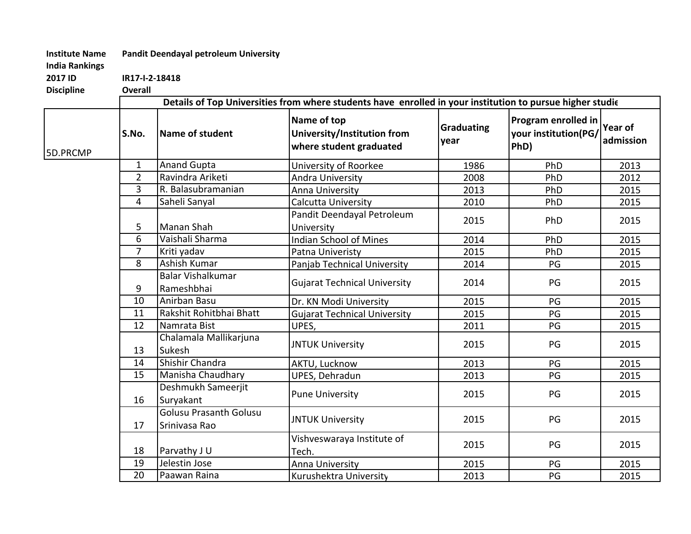## Institute Name Pandit Deendayal petroleum University

India Rankings

2017 IDIR17-I-2-18418

| <b>Discipline</b> | Overall                                                                                                   |                                                |                                                                       |                    |                                                     |                      |  |  |
|-------------------|-----------------------------------------------------------------------------------------------------------|------------------------------------------------|-----------------------------------------------------------------------|--------------------|-----------------------------------------------------|----------------------|--|--|
|                   | Details of Top Universities from where students have enrolled in your institution to pursue higher studie |                                                |                                                                       |                    |                                                     |                      |  |  |
| 5D.PRCMP          | S.No.                                                                                                     | Name of student                                | Name of top<br>University/Institution from<br>where student graduated | Graduating<br>year | Program enrolled in<br>your institution(PG/<br>PhD) | Year of<br>admission |  |  |
|                   | $\mathbf{1}$                                                                                              | <b>Anand Gupta</b>                             | University of Roorkee                                                 | 1986               | PhD                                                 | 2013                 |  |  |
|                   | $\overline{2}$                                                                                            | Ravindra Ariketi                               | <b>Andra University</b>                                               | 2008               | PhD                                                 | 2012                 |  |  |
|                   | 3                                                                                                         | R. Balasubramanian                             | Anna University                                                       | 2013               | PhD                                                 | 2015                 |  |  |
|                   | $\overline{4}$                                                                                            | Saheli Sanyal                                  | Calcutta University                                                   | 2010               | PhD                                                 | 2015                 |  |  |
|                   | 5                                                                                                         | Manan Shah                                     | Pandit Deendayal Petroleum<br>University                              | 2015               | PhD                                                 | 2015                 |  |  |
|                   | 6                                                                                                         | Vaishali Sharma                                | <b>Indian School of Mines</b>                                         | 2014               | PhD                                                 | 2015                 |  |  |
|                   | $\overline{7}$                                                                                            | Kriti yadav                                    | Patna Univeristy                                                      | 2015               | PhD                                                 | 2015                 |  |  |
|                   | 8                                                                                                         | Ashish Kumar                                   | Panjab Technical University                                           | 2014               | PG                                                  | 2015                 |  |  |
|                   | 9                                                                                                         | <b>Balar Vishalkumar</b><br>Rameshbhai         | <b>Gujarat Technical University</b>                                   | 2014               | PG                                                  | 2015                 |  |  |
|                   | 10                                                                                                        | Anirban Basu                                   | Dr. KN Modi University                                                | 2015               | PG                                                  | 2015                 |  |  |
|                   | 11                                                                                                        | Rakshit Rohitbhai Bhatt                        | <b>Gujarat Technical University</b>                                   | 2015               | PG                                                  | 2015                 |  |  |
|                   | $\overline{12}$                                                                                           | Namrata Bist                                   | UPES,                                                                 | 2011               | PG                                                  | 2015                 |  |  |
|                   | 13                                                                                                        | Chalamala Mallikarjuna<br>Sukesh               | <b>JNTUK University</b>                                               | 2015               | PG                                                  | 2015                 |  |  |
|                   | 14                                                                                                        | Shishir Chandra                                | AKTU, Lucknow                                                         | 2013               | PG                                                  | 2015                 |  |  |
|                   | 15                                                                                                        | Manisha Chaudhary                              | UPES, Dehradun                                                        | 2013               | $\mathsf{PG}$                                       | 2015                 |  |  |
|                   | 16                                                                                                        | Deshmukh Sameerjit<br>Suryakant                | <b>Pune University</b>                                                | 2015               | PG                                                  | 2015                 |  |  |
|                   | 17                                                                                                        | <b>Golusu Prasanth Golusu</b><br>Srinivasa Rao | <b>JNTUK University</b>                                               | 2015               | PG                                                  | 2015                 |  |  |
|                   | 18                                                                                                        | Parvathy J U                                   | Vishveswaraya Institute of<br>Tech.                                   | 2015               | PG                                                  | 2015                 |  |  |
|                   | 19                                                                                                        | Jelestin Jose                                  | Anna University                                                       | 2015               | PG                                                  | 2015                 |  |  |
|                   | 20                                                                                                        | Paawan Raina                                   | Kurushektra University                                                | 2013               | PG                                                  | 2015                 |  |  |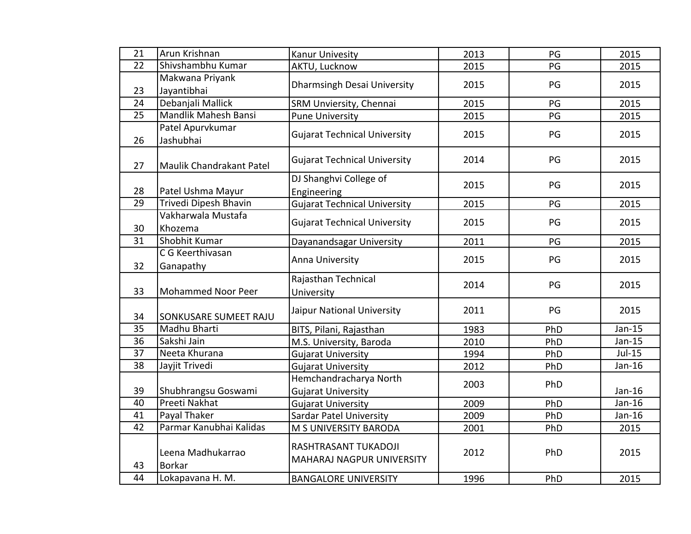| 21              | Arun Krishnan                      | Kanur Univesity                                   | 2013 | PG  | 2015     |
|-----------------|------------------------------------|---------------------------------------------------|------|-----|----------|
| 22              | Shivshambhu Kumar                  | AKTU, Lucknow                                     | 2015 | PG  | 2015     |
|                 | Makwana Priyank                    | Dharmsingh Desai University                       | 2015 | PG  | 2015     |
| 23              | Jayantibhai                        |                                                   |      |     |          |
| 24              | Debanjali Mallick                  | SRM Unviersity, Chennai                           | 2015 | PG  | 2015     |
| 25              | Mandlik Mahesh Bansi               | <b>Pune University</b>                            | 2015 | PG  | 2015     |
|                 | Patel Apurvkumar                   | <b>Gujarat Technical University</b>               | 2015 | PG  | 2015     |
| 26              | Jashubhai                          |                                                   |      |     |          |
| 27              | Maulik Chandrakant Patel           | <b>Gujarat Technical University</b>               | 2014 | PG  | 2015     |
|                 |                                    | DJ Shanghvi College of                            | 2015 | PG  | 2015     |
| 28              | Patel Ushma Mayur                  | Engineering                                       |      |     |          |
| $\overline{29}$ | Trivedi Dipesh Bhavin              | <b>Gujarat Technical University</b>               | 2015 | PG  | 2015     |
|                 | Vakharwala Mustafa                 | <b>Gujarat Technical University</b>               | 2015 | PG  | 2015     |
| 30              | Khozema                            |                                                   |      |     |          |
| 31              | Shobhit Kumar                      | Dayanandsagar University                          | 2011 | PG  | 2015     |
|                 | C G Keerthivasan                   | Anna University                                   | 2015 | PG  | 2015     |
| 32              | Ganapathy                          |                                                   |      |     |          |
|                 |                                    | Rajasthan Technical                               | 2014 | PG  | 2015     |
| 33              | <b>Mohammed Noor Peer</b>          | University                                        |      |     |          |
| 34              | SONKUSARE SUMEET RAJU              | Jaipur National University                        | 2011 | PG  | 2015     |
| 35              | Madhu Bharti                       | BITS, Pilani, Rajasthan                           | 1983 | PhD | $Jan-15$ |
| 36              | Sakshi Jain                        | M.S. University, Baroda                           | 2010 | PhD | $Jan-15$ |
| 37              | Neeta Khurana                      | <b>Gujarat University</b>                         | 1994 | PhD | $Jul-15$ |
| $\overline{38}$ | Jayjit Trivedi                     | <b>Gujarat University</b>                         | 2012 | PhD | $Jan-16$ |
|                 |                                    | Hemchandracharya North                            | 2003 | PhD |          |
| 39              | Shubhrangsu Goswami                | <b>Gujarat University</b>                         |      |     | $Jan-16$ |
| 40              | Preeti Nakhat                      | <b>Gujarat University</b>                         | 2009 | PhD | $Jan-16$ |
| 41              | Payal Thaker                       | <b>Sardar Patel University</b>                    | 2009 | PhD | $Jan-16$ |
| 42              | Parmar Kanubhai Kalidas            | M S UNIVERSITY BARODA                             | 2001 | PhD | 2015     |
| 43              | Leena Madhukarrao<br><b>Borkar</b> | RASHTRASANT TUKADOJI<br>MAHARAJ NAGPUR UNIVERSITY | 2012 | PhD | 2015     |
| 44              | Lokapavana H. M.                   | <b>BANGALORE UNIVERSITY</b>                       | 1996 | PhD | 2015     |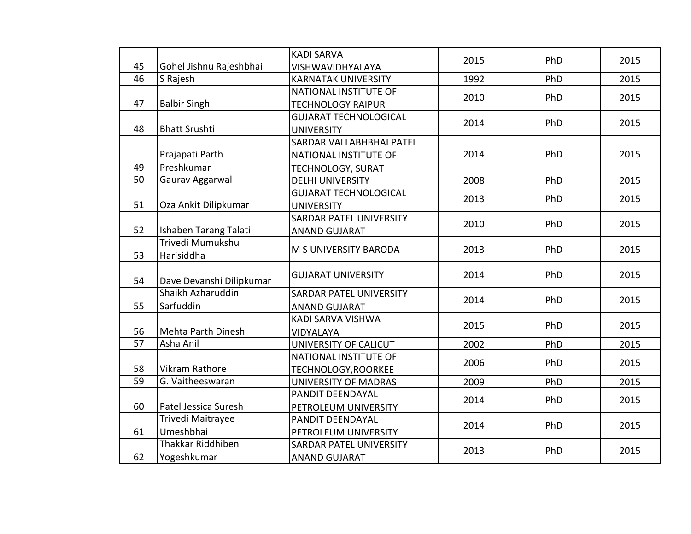|                 |                          | <b>KADI SARVA</b>              | 2015 | PhD | 2015 |
|-----------------|--------------------------|--------------------------------|------|-----|------|
| 45              | Gohel Jishnu Rajeshbhai  | VISHWAVIDHYALAYA               |      |     |      |
| 46              | S Rajesh                 | <b>KARNATAK UNIVERSITY</b>     | 1992 | PhD | 2015 |
|                 |                          | NATIONAL INSTITUTE OF          | 2010 | PhD | 2015 |
| 47              | <b>Balbir Singh</b>      | <b>TECHNOLOGY RAIPUR</b>       |      |     |      |
|                 |                          | <b>GUJARAT TECHNOLOGICAL</b>   | 2014 | PhD | 2015 |
| 48              | <b>Bhatt Srushti</b>     | <b>UNIVERSITY</b>              |      |     |      |
|                 |                          | SARDAR VALLABHBHAI PATEL       |      |     |      |
|                 | Prajapati Parth          | NATIONAL INSTITUTE OF          | 2014 | PhD | 2015 |
| 49              | Preshkumar               | <b>TECHNOLOGY, SURAT</b>       |      |     |      |
| 50              | Gaurav Aggarwal          | <b>DELHI UNIVERSITY</b>        | 2008 | PhD | 2015 |
|                 |                          | <b>GUJARAT TECHNOLOGICAL</b>   | 2013 | PhD | 2015 |
| 51              | Oza Ankit Dilipkumar     | <b>UNIVERSITY</b>              |      |     |      |
|                 |                          | <b>SARDAR PATEL UNIVERSITY</b> | 2010 | PhD | 2015 |
| 52              | Ishaben Tarang Talati    | <b>ANAND GUJARAT</b>           |      |     |      |
|                 | Trivedi Mumukshu         | M S UNIVERSITY BARODA          | 2013 | PhD | 2015 |
| 53              | Harisiddha               |                                |      |     |      |
| 54              | Dave Devanshi Dilipkumar | <b>GUJARAT UNIVERSITY</b>      | 2014 | PhD | 2015 |
|                 | Shaikh Azharuddin        | <b>SARDAR PATEL UNIVERSITY</b> |      |     |      |
| 55              | Sarfuddin                | <b>ANAND GUJARAT</b>           | 2014 | PhD | 2015 |
|                 |                          | KADI SARVA VISHWA              |      |     |      |
| 56              | Mehta Parth Dinesh       | VIDYALAYA                      | 2015 | PhD | 2015 |
| $\overline{57}$ | Asha Anil                | UNIVERSITY OF CALICUT          | 2002 | PhD | 2015 |
|                 |                          | NATIONAL INSTITUTE OF          | 2006 | PhD | 2015 |
| 58              | Vikram Rathore           | TECHNOLOGY, ROORKEE            |      |     |      |
| $\overline{59}$ | G. Vaitheeswaran         | <b>UNIVERSITY OF MADRAS</b>    | 2009 | PhD | 2015 |
|                 |                          | PANDIT DEENDAYAL               | 2014 | PhD | 2015 |
| 60              | Patel Jessica Suresh     | PETROLEUM UNIVERSITY           |      |     |      |
|                 | Trivedi Maitrayee        | PANDIT DEENDAYAL               | 2014 | PhD | 2015 |
| 61              | Umeshbhai                | PETROLEUM UNIVERSITY           |      |     |      |
|                 | Thakkar Riddhiben        | <b>SARDAR PATEL UNIVERSITY</b> | 2013 | PhD | 2015 |
| 62              | Yogeshkumar              | <b>ANAND GUJARAT</b>           |      |     |      |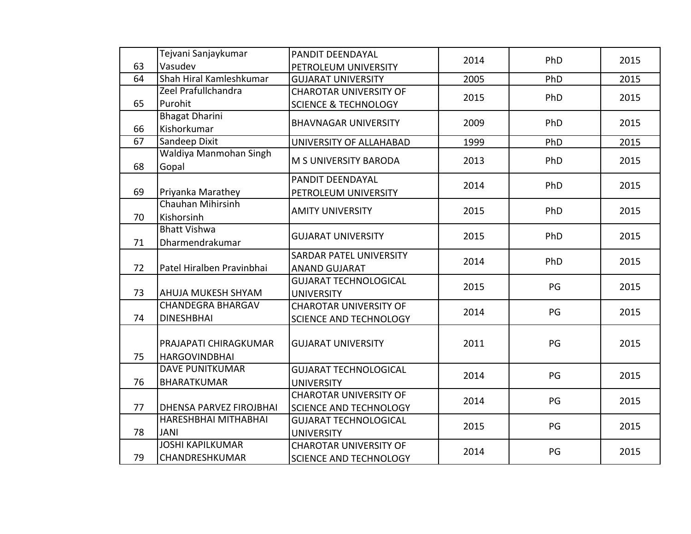|    | Tejvani Sanjaykumar            | PANDIT DEENDAYAL                | 2014 | PhD | 2015 |
|----|--------------------------------|---------------------------------|------|-----|------|
| 63 | Vasudev                        | PETROLEUM UNIVERSITY            |      |     |      |
| 64 | Shah Hiral Kamleshkumar        | <b>GUJARAT UNIVERSITY</b>       | 2005 | PhD | 2015 |
|    | Zeel Prafullchandra            | <b>CHAROTAR UNIVERSITY OF</b>   | 2015 | PhD | 2015 |
| 65 | Purohit                        | <b>SCIENCE &amp; TECHNOLOGY</b> |      |     |      |
|    | <b>Bhagat Dharini</b>          | <b>BHAVNAGAR UNIVERSITY</b>     | 2009 | PhD | 2015 |
| 66 | Kishorkumar                    |                                 |      |     |      |
| 67 | Sandeep Dixit                  | UNIVERSITY OF ALLAHABAD         | 1999 | PhD | 2015 |
|    | Waldiya Manmohan Singh         | M S UNIVERSITY BARODA           | 2013 | PhD | 2015 |
| 68 | Gopal                          |                                 |      |     |      |
|    |                                | PANDIT DEENDAYAL                | 2014 | PhD | 2015 |
| 69 | Priyanka Marathey              | PETROLEUM UNIVERSITY            |      |     |      |
|    | Chauhan Mihirsinh              | <b>AMITY UNIVERSITY</b>         | 2015 | PhD | 2015 |
| 70 | Kishorsinh                     |                                 |      |     |      |
|    | <b>Bhatt Vishwa</b>            | <b>GUJARAT UNIVERSITY</b>       | 2015 | PhD | 2015 |
| 71 | Dharmendrakumar                |                                 |      |     |      |
|    |                                | <b>SARDAR PATEL UNIVERSITY</b>  | 2014 | PhD | 2015 |
| 72 | Patel Hiralben Pravinbhai      | <b>ANAND GUJARAT</b>            |      |     |      |
|    |                                | <b>GUJARAT TECHNOLOGICAL</b>    | 2015 | PG  | 2015 |
| 73 | <b>AHUJA MUKESH SHYAM</b>      | <b>UNIVERSITY</b>               |      |     |      |
|    | <b>CHANDEGRA BHARGAV</b>       | <b>CHAROTAR UNIVERSITY OF</b>   | 2014 | PG  | 2015 |
| 74 | <b>DINESHBHAI</b>              | SCIENCE AND TECHNOLOGY          |      |     |      |
|    |                                |                                 |      |     |      |
|    | PRAJAPATI CHIRAGKUMAR          | <b>GUJARAT UNIVERSITY</b>       | 2011 | PG  | 2015 |
| 75 | <b>HARGOVINDBHAI</b>           |                                 |      |     |      |
|    | <b>DAVE PUNITKUMAR</b>         | <b>GUJARAT TECHNOLOGICAL</b>    | 2014 | PG  | 2015 |
| 76 | <b>BHARATKUMAR</b>             | <b>UNIVERSITY</b>               |      |     |      |
|    |                                | <b>CHAROTAR UNIVERSITY OF</b>   | 2014 | PG  | 2015 |
| 77 | <b>DHENSA PARVEZ FIROJBHAI</b> | <b>SCIENCE AND TECHNOLOGY</b>   |      |     |      |
|    | HARESHBHAI MITHABHAI           | <b>GUJARAT TECHNOLOGICAL</b>    | 2015 | PG  | 2015 |
| 78 | <b>JANI</b>                    | <b>UNIVERSITY</b>               |      |     |      |
|    | <b>JOSHI KAPILKUMAR</b>        | <b>CHAROTAR UNIVERSITY OF</b>   | 2014 |     |      |
| 79 | CHANDRESHKUMAR                 | <b>SCIENCE AND TECHNOLOGY</b>   |      | PG  | 2015 |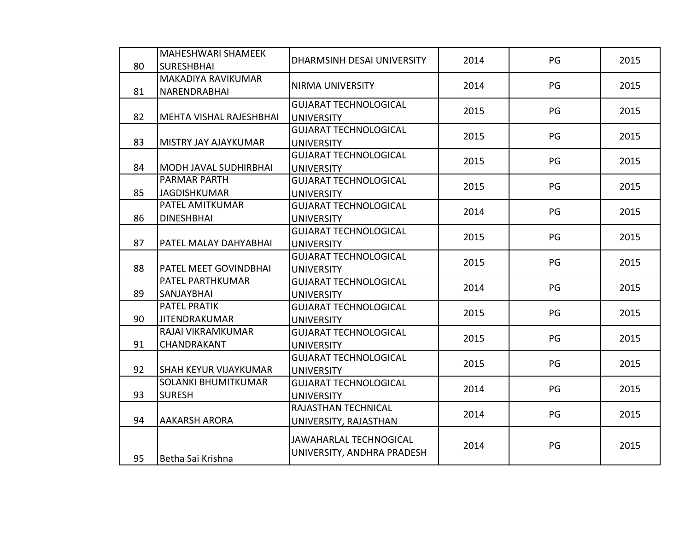| 80 | MAHESHWARI SHAMEEK<br><b>SURESHBHAI</b>     | DHARMSINH DESAI UNIVERSITY                                  | 2014 | PG | 2015 |
|----|---------------------------------------------|-------------------------------------------------------------|------|----|------|
| 81 | MAKADIYA RAVIKUMAR<br>NARENDRABHAI          | <b>NIRMA UNIVERSITY</b>                                     | 2014 | PG | 2015 |
| 82 | MEHTA VISHAL RAJESHBHAI                     | <b>GUJARAT TECHNOLOGICAL</b><br><b>UNIVERSITY</b>           | 2015 | PG | 2015 |
| 83 | MISTRY JAY AJAYKUMAR                        | <b>GUJARAT TECHNOLOGICAL</b><br><b>UNIVERSITY</b>           | 2015 | PG | 2015 |
| 84 | MODH JAVAL SUDHIRBHAI                       | <b>GUJARAT TECHNOLOGICAL</b><br><b>UNIVERSITY</b>           | 2015 | PG | 2015 |
| 85 | PARMAR PARTH<br><b>JAGDISHKUMAR</b>         | <b>GUJARAT TECHNOLOGICAL</b><br><b>UNIVERSITY</b>           | 2015 | PG | 2015 |
| 86 | PATEL AMITKUMAR<br><b>DINESHBHAI</b>        | <b>GUJARAT TECHNOLOGICAL</b><br><b>UNIVERSITY</b>           | 2014 | PG | 2015 |
| 87 | PATEL MALAY DAHYABHAI                       | <b>GUJARAT TECHNOLOGICAL</b><br><b>UNIVERSITY</b>           | 2015 | PG | 2015 |
| 88 | PATEL MEET GOVINDBHAI                       | <b>GUJARAT TECHNOLOGICAL</b><br><b>UNIVERSITY</b>           | 2015 | PG | 2015 |
| 89 | PATEL PARTHKUMAR<br>SANJAYBHAI              | <b>GUJARAT TECHNOLOGICAL</b><br><b>UNIVERSITY</b>           | 2014 | PG | 2015 |
| 90 | <b>PATEL PRATIK</b><br><b>JITENDRAKUMAR</b> | <b>GUJARAT TECHNOLOGICAL</b><br><b>UNIVERSITY</b>           | 2015 | PG | 2015 |
| 91 | RAJAI VIKRAMKUMAR<br>CHANDRAKANT            | <b>GUJARAT TECHNOLOGICAL</b><br><b>UNIVERSITY</b>           | 2015 | PG | 2015 |
| 92 | <b>SHAH KEYUR VIJAYKUMAR</b>                | <b>GUJARAT TECHNOLOGICAL</b><br><b>UNIVERSITY</b>           | 2015 | PG | 2015 |
| 93 | <b>SOLANKI BHUMITKUMAR</b><br><b>SURESH</b> | <b>GUJARAT TECHNOLOGICAL</b><br><b>UNIVERSITY</b>           | 2014 | PG | 2015 |
| 94 | <b>AAKARSH ARORA</b>                        | RAJASTHAN TECHNICAL<br>UNIVERSITY, RAJASTHAN                | 2014 | PG | 2015 |
| 95 | Betha Sai Krishna                           | <b>JAWAHARLAL TECHNOGICAL</b><br>UNIVERSITY, ANDHRA PRADESH | 2014 | PG | 2015 |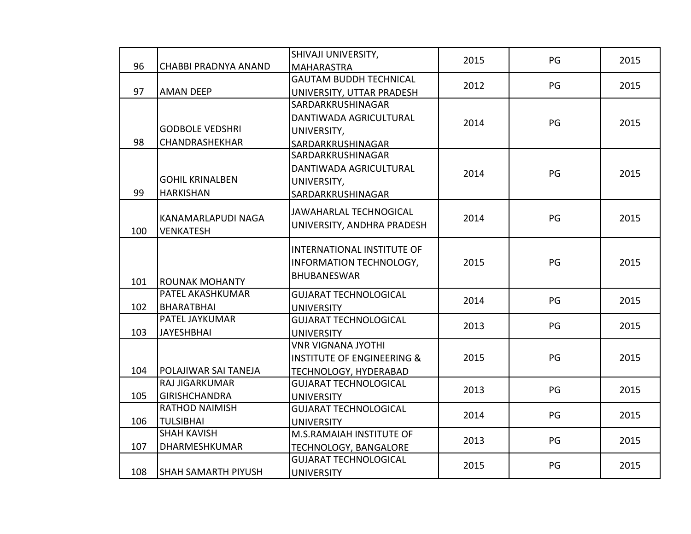|     |                                     | SHIVAJI UNIVERSITY,                   | 2015 | PG | 2015 |
|-----|-------------------------------------|---------------------------------------|------|----|------|
| 96  | <b>CHABBI PRADNYA ANAND</b>         | <b>MAHARASTRA</b>                     |      |    |      |
|     |                                     | <b>GAUTAM BUDDH TECHNICAL</b>         | 2012 | PG | 2015 |
| 97  | <b>AMAN DEEP</b>                    | UNIVERSITY, UTTAR PRADESH             |      |    |      |
|     |                                     | SARDARKRUSHINAGAR                     |      |    |      |
|     |                                     | DANTIWADA AGRICULTURAL                | 2014 | PG | 2015 |
|     | <b>GODBOLE VEDSHRI</b>              | UNIVERSITY,                           |      |    |      |
| 98  | CHANDRASHEKHAR                      | SARDARKRUSHINAGAR                     |      |    |      |
|     |                                     | SARDARKRUSHINAGAR                     |      |    |      |
|     |                                     | DANTIWADA AGRICULTURAL                | 2014 | PG | 2015 |
|     | <b>GOHIL KRINALBEN</b>              | UNIVERSITY,                           |      |    |      |
| 99  | <b>HARKISHAN</b>                    | SARDARKRUSHINAGAR                     |      |    |      |
|     |                                     | <b>JAWAHARLAL TECHNOGICAL</b>         |      |    |      |
|     | KANAMARLAPUDI NAGA                  | UNIVERSITY, ANDHRA PRADESH            | 2014 | PG | 2015 |
| 100 | <b>VENKATESH</b>                    |                                       |      |    |      |
|     |                                     | <b>INTERNATIONAL INSTITUTE OF</b>     |      |    |      |
|     |                                     | INFORMATION TECHNOLOGY,               | 2015 | PG | 2015 |
|     |                                     | <b>BHUBANESWAR</b>                    |      |    |      |
| 101 | <b>ROUNAK MOHANTY</b>               |                                       |      |    |      |
|     | PATEL AKASHKUMAR                    | <b>GUJARAT TECHNOLOGICAL</b>          | 2014 | PG | 2015 |
| 102 | <b>BHARATBHAI</b><br>PATEL JAYKUMAR | <b>UNIVERSITY</b>                     |      |    |      |
|     |                                     | <b>GUJARAT TECHNOLOGICAL</b>          | 2013 | PG | 2015 |
| 103 | <b>JAYESHBHAI</b>                   | <b>UNIVERSITY</b>                     |      |    |      |
|     |                                     | <b>VNR VIGNANA JYOTHI</b>             |      |    |      |
|     |                                     | <b>INSTITUTE OF ENGINEERING &amp;</b> | 2015 | PG | 2015 |
| 104 | POLAJIWAR SAI TANEJA                | TECHNOLOGY, HYDERABAD                 |      |    |      |
|     | <b>RAJ JIGARKUMAR</b>               | <b>GUJARAT TECHNOLOGICAL</b>          | 2013 | PG | 2015 |
| 105 | <b>GIRISHCHANDRA</b>                | <b>UNIVERSITY</b>                     |      |    |      |
|     | <b>RATHOD NAIMISH</b>               | <b>GUJARAT TECHNOLOGICAL</b>          | 2014 | PG | 2015 |
| 106 | <b>TULSIBHAI</b>                    | <b>UNIVERSITY</b>                     |      |    |      |
|     | <b>SHAH KAVISH</b>                  | M.S.RAMAIAH INSTITUTE OF              | 2013 | PG | 2015 |
| 107 | DHARMESHKUMAR                       | TECHNOLOGY, BANGALORE                 |      |    |      |
|     |                                     | <b>GUJARAT TECHNOLOGICAL</b>          | 2015 | PG | 2015 |
| 108 | <b>SHAH SAMARTH PIYUSH</b>          | <b>UNIVERSITY</b>                     |      |    |      |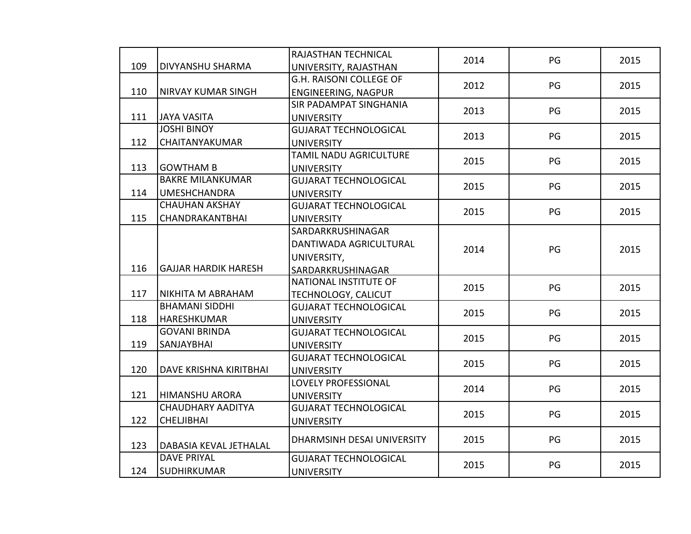|     |                             | RAJASTHAN TECHNICAL          | 2014 | PG | 2015 |
|-----|-----------------------------|------------------------------|------|----|------|
| 109 | <b>DIVYANSHU SHARMA</b>     | UNIVERSITY, RAJASTHAN        |      |    |      |
|     |                             | G.H. RAISONI COLLEGE OF      | 2012 | PG | 2015 |
| 110 | <b>NIRVAY KUMAR SINGH</b>   | ENGINEERING, NAGPUR          |      |    |      |
|     |                             | SIR PADAMPAT SINGHANIA       | 2013 | PG | 2015 |
| 111 | <b>JAYA VASITA</b>          | <b>UNIVERSITY</b>            |      |    |      |
|     | <b>JOSHI BINOY</b>          | <b>GUJARAT TECHNOLOGICAL</b> | 2013 | PG | 2015 |
| 112 | CHAITANYAKUMAR              | <b>UNIVERSITY</b>            |      |    |      |
|     |                             | TAMIL NADU AGRICULTURE       | 2015 | PG | 2015 |
| 113 | <b>GOWTHAM B</b>            | <b>UNIVERSITY</b>            |      |    |      |
|     | <b>BAKRE MILANKUMAR</b>     | <b>GUJARAT TECHNOLOGICAL</b> | 2015 | PG | 2015 |
| 114 | <b>UMESHCHANDRA</b>         | <b>UNIVERSITY</b>            |      |    |      |
|     | <b>CHAUHAN AKSHAY</b>       | <b>GUJARAT TECHNOLOGICAL</b> | 2015 | PG | 2015 |
| 115 | <b>CHANDRAKANTBHAI</b>      | <b>UNIVERSITY</b>            |      |    |      |
|     |                             | SARDARKRUSHINAGAR            |      |    |      |
|     |                             | DANTIWADA AGRICULTURAL       | 2014 | PG | 2015 |
|     |                             | UNIVERSITY,                  |      |    |      |
| 116 | <b>GAJJAR HARDIK HARESH</b> | SARDARKRUSHINAGAR            |      |    |      |
|     |                             | NATIONAL INSTITUTE OF        |      |    |      |
| 117 | <b>NIKHITA M ABRAHAM</b>    | TECHNOLOGY, CALICUT          | 2015 | PG | 2015 |
|     | <b>BHAMANI SIDDHI</b>       | <b>GUJARAT TECHNOLOGICAL</b> |      |    |      |
| 118 | <b>HARESHKUMAR</b>          | <b>UNIVERSITY</b>            | 2015 | PG | 2015 |
|     | <b>GOVANI BRINDA</b>        | <b>GUJARAT TECHNOLOGICAL</b> |      |    |      |
| 119 | SANJAYBHAI                  | <b>UNIVERSITY</b>            | 2015 | PG | 2015 |
|     |                             | <b>GUJARAT TECHNOLOGICAL</b> |      |    |      |
| 120 | DAVE KRISHNA KIRITBHAI      | <b>UNIVERSITY</b>            | 2015 | PG | 2015 |
|     |                             | <b>LOVELY PROFESSIONAL</b>   |      | PG |      |
| 121 | <b>HIMANSHU ARORA</b>       | <b>UNIVERSITY</b>            | 2014 |    | 2015 |
|     | <b>CHAUDHARY AADITYA</b>    | <b>GUJARAT TECHNOLOGICAL</b> |      |    |      |
| 122 | <b>CHELJIBHAI</b>           | <b>UNIVERSITY</b>            | 2015 | PG | 2015 |
|     |                             | DHARMSINH DESAI UNIVERSITY   | 2015 | PG | 2015 |
| 123 | DABASIA KEVAL JETHALAL      |                              |      |    |      |
|     | <b>DAVE PRIYAL</b>          | <b>GUJARAT TECHNOLOGICAL</b> | 2015 | PG | 2015 |
| 124 | <b>SUDHIRKUMAR</b>          | <b>UNIVERSITY</b>            |      |    |      |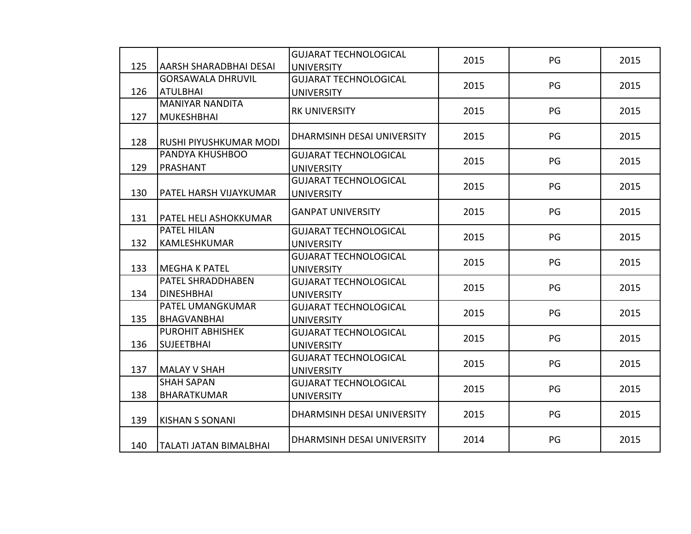| 125 | AARSH SHARADBHAI DESAI        | <b>GUJARAT TECHNOLOGICAL</b><br><b>UNIVERSITY</b> | 2015 | PG | 2015 |
|-----|-------------------------------|---------------------------------------------------|------|----|------|
|     | <b>GORSAWALA DHRUVIL</b>      | <b>GUJARAT TECHNOLOGICAL</b>                      |      |    |      |
| 126 | <b>ATULBHAI</b>               | <b>UNIVERSITY</b>                                 | 2015 | PG | 2015 |
|     | <b>MANIYAR NANDITA</b>        | <b>RK UNIVERSITY</b>                              | 2015 | PG | 2015 |
| 127 | <b>MUKESHBHAI</b>             |                                                   |      |    |      |
| 128 | RUSHI PIYUSHKUMAR MODI        | DHARMSINH DESAI UNIVERSITY                        | 2015 | PG | 2015 |
|     | PANDYA KHUSHBOO               | <b>GUJARAT TECHNOLOGICAL</b>                      | 2015 | PG | 2015 |
| 129 | PRASHANT                      | <b>UNIVERSITY</b>                                 |      |    |      |
|     |                               | <b>GUJARAT TECHNOLOGICAL</b>                      | 2015 | PG | 2015 |
| 130 | PATEL HARSH VIJAYKUMAR        | <b>UNIVERSITY</b>                                 |      |    |      |
| 131 | PATEL HELI ASHOKKUMAR         | <b>GANPAT UNIVERSITY</b>                          | 2015 | PG | 2015 |
|     | PATEL HILAN                   | <b>GUJARAT TECHNOLOGICAL</b>                      | 2015 | PG | 2015 |
| 132 | KAMLESHKUMAR                  | <b>UNIVERSITY</b>                                 |      |    |      |
|     |                               | <b>GUJARAT TECHNOLOGICAL</b>                      | 2015 | PG | 2015 |
| 133 | <b>MEGHA K PATEL</b>          | <b>UNIVERSITY</b>                                 |      |    |      |
|     | PATEL SHRADDHABEN             | <b>GUJARAT TECHNOLOGICAL</b>                      | 2015 | PG | 2015 |
| 134 | <b>DINESHBHAI</b>             | <b>UNIVERSITY</b>                                 |      |    |      |
|     | PATEL UMANGKUMAR              | <b>GUJARAT TECHNOLOGICAL</b>                      | 2015 | PG | 2015 |
| 135 | <b>BHAGVANBHAI</b>            | <b>UNIVERSITY</b>                                 |      |    |      |
|     | PUROHIT ABHISHEK              | <b>GUJARAT TECHNOLOGICAL</b>                      | 2015 | PG | 2015 |
| 136 | <b>SUJEETBHAI</b>             | <b>UNIVERSITY</b>                                 |      |    |      |
| 137 | <b>MALAY V SHAH</b>           | <b>GUJARAT TECHNOLOGICAL</b>                      | 2015 | PG | 2015 |
|     | <b>SHAH SAPAN</b>             | <b>UNIVERSITY</b><br><b>GUJARAT TECHNOLOGICAL</b> |      |    |      |
|     | <b>BHARATKUMAR</b>            |                                                   | 2015 | PG | 2015 |
| 138 |                               | <b>UNIVERSITY</b>                                 |      |    |      |
| 139 | <b>KISHAN S SONANI</b>        | DHARMSINH DESAI UNIVERSITY                        | 2015 | PG | 2015 |
| 140 | <b>TALATI JATAN BIMALBHAI</b> | DHARMSINH DESAI UNIVERSITY                        | 2014 | PG | 2015 |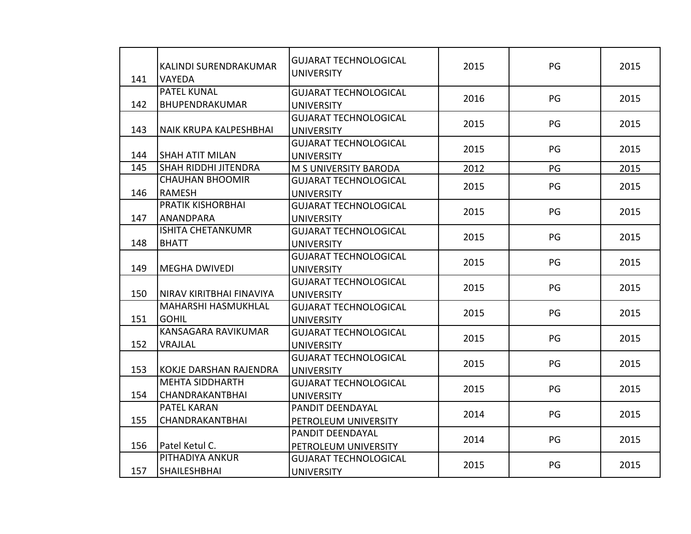| 141 | KALINDI SURENDRAKUMAR<br><b>VAYEDA</b> | <b>GUJARAT TECHNOLOGICAL</b><br><b>UNIVERSITY</b> | 2015 | PG | 2015 |
|-----|----------------------------------------|---------------------------------------------------|------|----|------|
|     | PATEL KUNAL                            | <b>GUJARAT TECHNOLOGICAL</b>                      |      |    |      |
| 142 | BHUPENDRAKUMAR                         | <b>UNIVERSITY</b>                                 | 2016 | PG | 2015 |
|     |                                        | <b>GUJARAT TECHNOLOGICAL</b>                      | 2015 | PG | 2015 |
| 143 | <b>NAIK KRUPA KALPESHBHAI</b>          | <b>UNIVERSITY</b>                                 |      |    |      |
|     |                                        | <b>GUJARAT TECHNOLOGICAL</b>                      | 2015 | PG | 2015 |
| 144 | <b>SHAH ATIT MILAN</b>                 | <b>UNIVERSITY</b>                                 |      |    |      |
| 145 | <b>SHAH RIDDHI JITENDRA</b>            | M S UNIVERSITY BARODA                             | 2012 | PG | 2015 |
|     | <b>CHAUHAN BHOOMIR</b>                 | <b>GUJARAT TECHNOLOGICAL</b>                      | 2015 | PG | 2015 |
| 146 | <b>RAMESH</b>                          | <b>UNIVERSITY</b>                                 |      |    |      |
|     | <b>PRATIK KISHORBHAI</b>               | <b>GUJARAT TECHNOLOGICAL</b>                      | 2015 | PG | 2015 |
| 147 | <b>ANANDPARA</b>                       | <b>UNIVERSITY</b>                                 |      |    |      |
|     | <b>ISHITA CHETANKUMR</b>               | <b>GUJARAT TECHNOLOGICAL</b>                      | 2015 | PG | 2015 |
| 148 | <b>BHATT</b>                           | <b>UNIVERSITY</b>                                 |      |    |      |
|     |                                        | <b>GUJARAT TECHNOLOGICAL</b>                      | 2015 | PG | 2015 |
| 149 | <b>MEGHA DWIVEDI</b>                   | <b>UNIVERSITY</b>                                 |      |    |      |
|     |                                        | <b>GUJARAT TECHNOLOGICAL</b>                      | 2015 | PG | 2015 |
| 150 | NIRAV KIRITBHAI FINAVIYA               | <b>UNIVERSITY</b>                                 |      |    |      |
|     | MAHARSHI HASMUKHLAL                    | <b>GUJARAT TECHNOLOGICAL</b>                      | 2015 | PG | 2015 |
| 151 | <b>GOHIL</b>                           | <b>UNIVERSITY</b>                                 |      |    |      |
|     | KANSAGARA RAVIKUMAR                    | <b>GUJARAT TECHNOLOGICAL</b>                      | 2015 | PG | 2015 |
| 152 | VRAJLAL                                | <b>UNIVERSITY</b>                                 |      |    |      |
|     |                                        | <b>GUJARAT TECHNOLOGICAL</b>                      | 2015 | PG | 2015 |
| 153 | <b>KOKJE DARSHAN RAJENDRA</b>          | <b>UNIVERSITY</b>                                 |      |    |      |
|     | <b>MEHTA SIDDHARTH</b>                 | <b>GUJARAT TECHNOLOGICAL</b>                      | 2015 | PG | 2015 |
| 154 | <b>CHANDRAKANTBHAI</b>                 | <b>UNIVERSITY</b>                                 |      |    |      |
|     | PATEL KARAN                            | PANDIT DEENDAYAL                                  | 2014 | PG | 2015 |
| 155 | <b>CHANDRAKANTBHAI</b>                 | PETROLEUM UNIVERSITY                              |      |    |      |
|     |                                        | PANDIT DEENDAYAL                                  | 2014 | PG | 2015 |
| 156 | Patel Ketul C.                         | PETROLEUM UNIVERSITY                              |      |    |      |
|     | PITHADIYA ANKUR                        | <b>GUJARAT TECHNOLOGICAL</b>                      | 2015 | PG | 2015 |
| 157 | <b>SHAILESHBHAI</b>                    | <b>UNIVERSITY</b>                                 |      |    |      |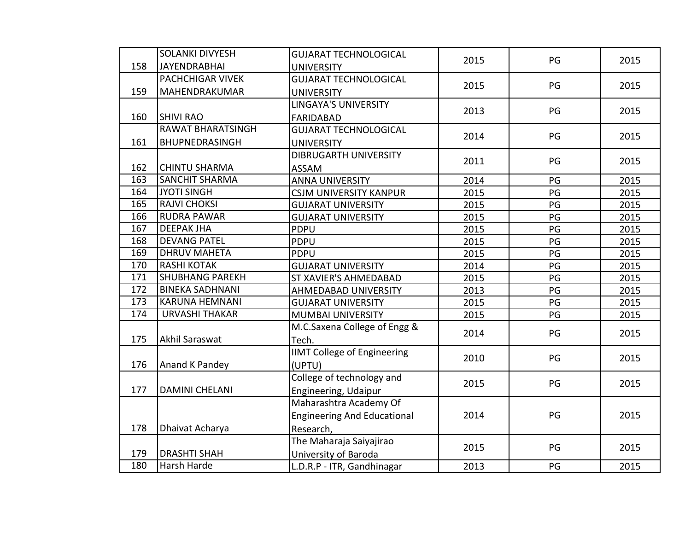|     | <b>SOLANKI DIVYESH</b>   | <b>GUJARAT TECHNOLOGICAL</b>       | 2015 | PG | 2015 |
|-----|--------------------------|------------------------------------|------|----|------|
| 158 | <b>JAYENDRABHAI</b>      | <b>UNIVERSITY</b>                  |      |    |      |
|     | <b>PACHCHIGAR VIVEK</b>  | <b>GUJARAT TECHNOLOGICAL</b>       | 2015 | PG | 2015 |
| 159 | MAHENDRAKUMAR            | <b>UNIVERSITY</b>                  |      |    |      |
|     |                          | <b>LINGAYA'S UNIVERSITY</b>        | 2013 | PG | 2015 |
| 160 | <b>SHIVI RAO</b>         | <b>FARIDABAD</b>                   |      |    |      |
|     | <b>RAWAT BHARATSINGH</b> | <b>GUJARAT TECHNOLOGICAL</b>       | 2014 | PG | 2015 |
| 161 | BHUPNEDRASINGH           | <b>UNIVERSITY</b>                  |      |    |      |
|     |                          | <b>DIBRUGARTH UNIVERSITY</b>       | 2011 | PG | 2015 |
| 162 | <b>CHINTU SHARMA</b>     | <b>ASSAM</b>                       |      |    |      |
| 163 | <b>SANCHIT SHARMA</b>    | <b>ANNA UNIVERSITY</b>             | 2014 | PG | 2015 |
| 164 | <b>JYOTI SINGH</b>       | <b>CSJM UNIVERSITY KANPUR</b>      | 2015 | PG | 2015 |
| 165 | <b>RAJVI CHOKSI</b>      | <b>GUJARAT UNIVERSITY</b>          | 2015 | PG | 2015 |
| 166 | <b>RUDRA PAWAR</b>       | <b>GUJARAT UNIVERSITY</b>          | 2015 | PG | 2015 |
| 167 | <b>DEEPAK JHA</b>        | <b>PDPU</b>                        | 2015 | PG | 2015 |
| 168 | <b>DEVANG PATEL</b>      | <b>PDPU</b>                        | 2015 | PG | 2015 |
| 169 | <b>DHRUV MAHETA</b>      | <b>PDPU</b>                        | 2015 | PG | 2015 |
| 170 | <b>RASHI KOTAK</b>       | <b>GUJARAT UNIVERSITY</b>          | 2014 | PG | 2015 |
| 171 | <b>SHUBHANG PAREKH</b>   | ST XAVIER'S AHMEDABAD              | 2015 | PG | 2015 |
| 172 | <b>BINEKA SADHNANI</b>   | AHMEDABAD UNIVERSITY               | 2013 | PG | 2015 |
| 173 | <b>KARUNA HEMNANI</b>    | <b>GUJARAT UNIVERSITY</b>          | 2015 | PG | 2015 |
| 174 | <b>URVASHI THAKAR</b>    | MUMBAI UNIVERSITY                  | 2015 | PG | 2015 |
|     |                          | M.C.Saxena College of Engg &       | 2014 | PG | 2015 |
| 175 | Akhil Saraswat           | Tech.                              |      |    |      |
|     |                          | <b>IIMT College of Engineering</b> | 2010 | PG | 2015 |
| 176 | Anand K Pandey           | (UPTU)                             |      |    |      |
|     |                          | College of technology and          | 2015 | PG | 2015 |
| 177 | <b>DAMINI CHELANI</b>    | Engineering, Udaipur               |      |    |      |
|     |                          | Maharashtra Academy Of             |      |    |      |
|     |                          | <b>Engineering And Educational</b> | 2014 | PG | 2015 |
| 178 | Dhaivat Acharya          | Research,                          |      |    |      |
|     |                          | The Maharaja Saiyajirao            |      |    |      |
| 179 | <b>DRASHTI SHAH</b>      | University of Baroda               | 2015 | PG | 2015 |
| 180 | Harsh Harde              | L.D.R.P - ITR, Gandhinagar         | 2013 | PG | 2015 |